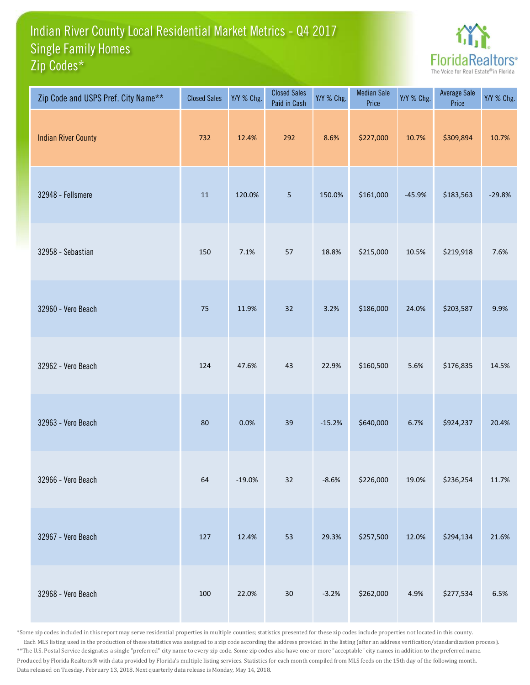## Indian River County Local Residential Market Metrics - Q4 2017 Zip Codes\* Single Family Homes



| Zip Code and USPS Pref. City Name** | <b>Closed Sales</b> | Y/Y % Chg. | <b>Closed Sales</b><br>Paid in Cash | Y/Y % Chg. | <b>Median Sale</b><br>Price | Y/Y % Chg. | <b>Average Sale</b><br>Price | Y/Y % Chg. |
|-------------------------------------|---------------------|------------|-------------------------------------|------------|-----------------------------|------------|------------------------------|------------|
| <b>Indian River County</b>          | 732                 | 12.4%      | 292                                 | 8.6%       | \$227,000                   | 10.7%      | \$309,894                    | 10.7%      |
| 32948 - Fellsmere                   | 11                  | 120.0%     | $\overline{5}$                      | 150.0%     | \$161,000                   | $-45.9%$   | \$183,563                    | $-29.8%$   |
| 32958 - Sebastian                   | 150                 | 7.1%       | 57                                  | 18.8%      | \$215,000                   | 10.5%      | \$219,918                    | 7.6%       |
| 32960 - Vero Beach                  | 75                  | 11.9%      | 32                                  | 3.2%       | \$186,000                   | 24.0%      | \$203,587                    | 9.9%       |
| 32962 - Vero Beach                  | 124                 | 47.6%      | 43                                  | 22.9%      | \$160,500                   | 5.6%       | \$176,835                    | 14.5%      |
| 32963 - Vero Beach                  | 80                  | 0.0%       | 39                                  | $-15.2%$   | \$640,000                   | 6.7%       | \$924,237                    | 20.4%      |
| 32966 - Vero Beach                  | 64                  | $-19.0%$   | $32\,$                              | $-8.6%$    | \$226,000                   | 19.0%      | \$236,254                    | 11.7%      |
| 32967 - Vero Beach                  | 127                 | 12.4%      | 53                                  | 29.3%      | \$257,500                   | 12.0%      | \$294,134                    | 21.6%      |
| 32968 - Vero Beach                  | 100                 | 22.0%      | $30\,$                              | $-3.2%$    | \$262,000                   | 4.9%       | \$277,534                    | $6.5\%$    |

\*Some zip codes included in this report may serve residential properties in multiple counties; statistics presented for these zip codes include properties not located in this county. Each MLS listing used in the production of these statistics was assigned to a zip code according the address provided in the listing (after an address verification/standardization process). \*\*The U.S. Postal Service designates a single "preferred" city name to every zip code. Some zip codes also have one or more "acceptable" city names in addition to the preferred name. Produced by Florida Realtors® with data provided by Florida's multiple listing services. Statistics for each month compiled from MLS feeds on the 15th day of the following month. Data released on Tuesday, February 13, 2018. Next quarterly data release is Monday, May 14, 2018.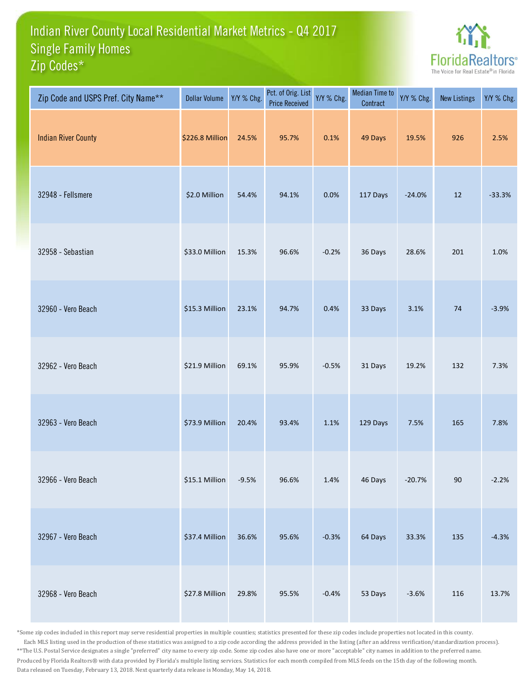## Indian River County Local Residential Market Metrics - Q4 2017 Zip Codes\* Single Family Homes



| Zip Code and USPS Pref. City Name** | <b>Dollar Volume</b> | Y/Y % Chg. | Pct. of Orig. List<br><b>Price Received</b> | Y/Y % Chg. | Median Time to<br>Contract | Y/Y % Chg. | <b>New Listings</b> | Y/Y % Chg. |
|-------------------------------------|----------------------|------------|---------------------------------------------|------------|----------------------------|------------|---------------------|------------|
| <b>Indian River County</b>          | \$226.8 Million      | 24.5%      | 95.7%                                       | 0.1%       | 49 Days                    | 19.5%      | 926                 | 2.5%       |
| 32948 - Fellsmere                   | \$2.0 Million        | 54.4%      | 94.1%                                       | 0.0%       | 117 Days                   | $-24.0%$   | 12                  | $-33.3%$   |
| 32958 - Sebastian                   | \$33.0 Million       | 15.3%      | 96.6%                                       | $-0.2%$    | 36 Days                    | 28.6%      | 201                 | 1.0%       |
| 32960 - Vero Beach                  | \$15.3 Million       | 23.1%      | 94.7%                                       | 0.4%       | 33 Days                    | 3.1%       | 74                  | $-3.9%$    |
| 32962 - Vero Beach                  | \$21.9 Million       | 69.1%      | 95.9%                                       | $-0.5%$    | 31 Days                    | 19.2%      | 132                 | 7.3%       |
| 32963 - Vero Beach                  | \$73.9 Million       | 20.4%      | 93.4%                                       | 1.1%       | 129 Days                   | 7.5%       | 165                 | 7.8%       |
| 32966 - Vero Beach                  | \$15.1 Million       | $-9.5%$    | 96.6%                                       | 1.4%       | 46 Days                    | $-20.7%$   | $90\,$              | $-2.2%$    |
| 32967 - Vero Beach                  | \$37.4 Million       | 36.6%      | 95.6%                                       | $-0.3%$    | 64 Days                    | 33.3%      | 135                 | $-4.3%$    |
| 32968 - Vero Beach                  | \$27.8 Million       | 29.8%      | 95.5%                                       | $-0.4%$    | 53 Days                    | $-3.6%$    | 116                 | 13.7%      |

\*Some zip codes included in this report may serve residential properties in multiple counties; statistics presented for these zip codes include properties not located in this county. Each MLS listing used in the production of these statistics was assigned to a zip code according the address provided in the listing (after an address verification/standardization process). \*\*The U.S. Postal Service designates a single "preferred" city name to every zip code. Some zip codes also have one or more "acceptable" city names in addition to the preferred name. Produced by Florida Realtors® with data provided by Florida's multiple listing services. Statistics for each month compiled from MLS feeds on the 15th day of the following month. Data released on Tuesday, February 13, 2018. Next quarterly data release is Monday, May 14, 2018.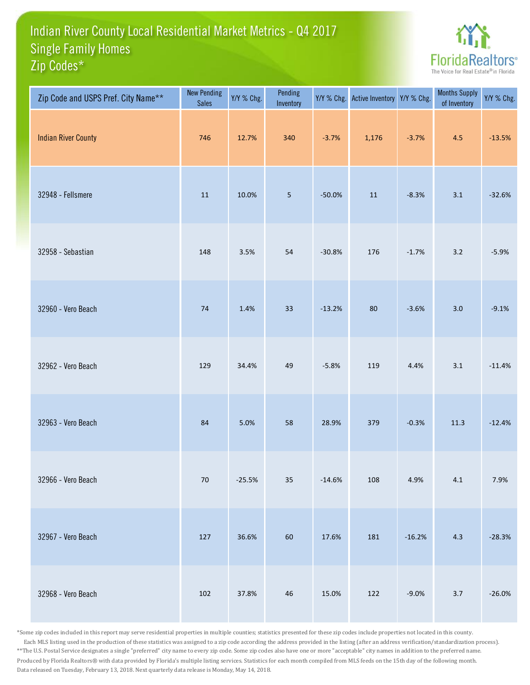## Indian River County Local Residential Market Metrics - Q4 2017 Zip Codes\* Single Family Homes



| Zip Code and USPS Pref. City Name** | <b>New Pending</b><br><b>Sales</b> | Y/Y % Chg. | Pending<br>Inventory | Y/Y % Chg. | Active Inventory | Y/Y % Chg. | <b>Months Supply</b><br>of Inventory | Y/Y % Chg. |
|-------------------------------------|------------------------------------|------------|----------------------|------------|------------------|------------|--------------------------------------|------------|
| <b>Indian River County</b>          | 746                                | 12.7%      | 340                  | $-3.7%$    | 1,176            | $-3.7%$    | 4.5                                  | $-13.5%$   |
| 32948 - Fellsmere                   | $11\,$                             | 10.0%      | $\overline{5}$       | $-50.0%$   | $11\,$           | $-8.3%$    | 3.1                                  | $-32.6%$   |
| 32958 - Sebastian                   | 148                                | 3.5%       | 54                   | $-30.8%$   | 176              | $-1.7%$    | 3.2                                  | $-5.9%$    |
| 32960 - Vero Beach                  | 74                                 | 1.4%       | 33                   | $-13.2%$   | 80               | $-3.6%$    | 3.0                                  | $-9.1%$    |
| 32962 - Vero Beach                  | 129                                | 34.4%      | 49                   | $-5.8%$    | 119              | 4.4%       | 3.1                                  | $-11.4%$   |
| 32963 - Vero Beach                  | 84                                 | 5.0%       | 58                   | 28.9%      | 379              | $-0.3%$    | $11.3$                               | $-12.4%$   |
| 32966 - Vero Beach                  | $70\,$                             | $-25.5%$   | $35\,$               | $-14.6%$   | 108              | 4.9%       | $4.1\,$                              | 7.9%       |
| 32967 - Vero Beach                  | 127                                | 36.6%      | 60                   | 17.6%      | 181              | $-16.2%$   | 4.3                                  | $-28.3%$   |
| 32968 - Vero Beach                  | 102                                | 37.8%      | 46                   | 15.0%      | 122              | $-9.0%$    | $3.7$                                | $-26.0%$   |

\*Some zip codes included in this report may serve residential properties in multiple counties; statistics presented for these zip codes include properties not located in this county. Each MLS listing used in the production of these statistics was assigned to a zip code according the address provided in the listing (after an address verification/standardization process). \*\*The U.S. Postal Service designates a single "preferred" city name to every zip code. Some zip codes also have one or more "acceptable" city names in addition to the preferred name. Produced by Florida Realtors® with data provided by Florida's multiple listing services. Statistics for each month compiled from MLS feeds on the 15th day of the following month. Data released on Tuesday, February 13, 2018. Next quarterly data release is Monday, May 14, 2018.